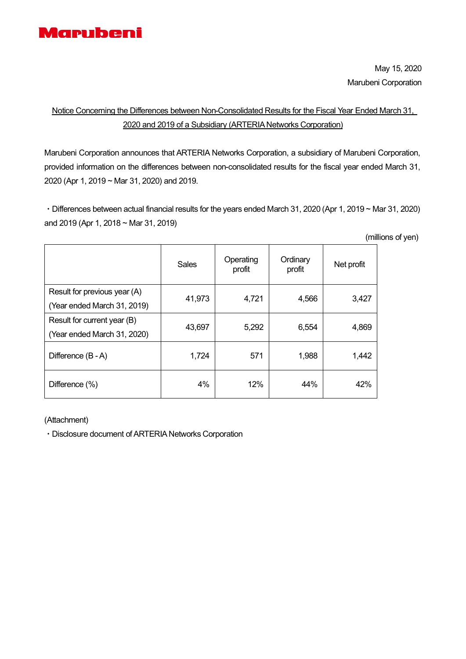

# Notice Concerning the Differences between Non-Consolidated Results for the Fiscal Year Ended March 31, 2020 and 2019 of a Subsidiary (ARTERIA Networks Corporation)

Marubeni Corporation announces that ARTERIA Networks Corporation, a subsidiary of Marubeni Corporation, provided information on the differences between non-consolidated results for the fiscal year ended March 31, 2020 (Apr 1, 2019 ~ Mar 31, 2020) and 2019.

・Differences between actual financial results for the years ended March 31, 2020 (Apr 1, 2019 ~ Mar 31, 2020) and 2019 (Apr 1, 2018 ~ Mar 31, 2019)

(millions of yen)

|                                                             | Sales  | Operating<br>profit | Ordinary<br>profit | Net profit |
|-------------------------------------------------------------|--------|---------------------|--------------------|------------|
| Result for previous year (A)<br>(Year ended March 31, 2019) | 41,973 | 4,721               | 4,566              | 3,427      |
| Result for current year (B)<br>(Year ended March 31, 2020)  | 43,697 | 5,292               | 6,554              | 4,869      |
| Difference (B - A)                                          | 1,724  | 571                 | 1,988              | 1,442      |
| Difference (%)                                              | 4%     | 12%                 | 44%                | 42%        |

(Attachment)

・Disclosure document of ARTERIA Networks Corporation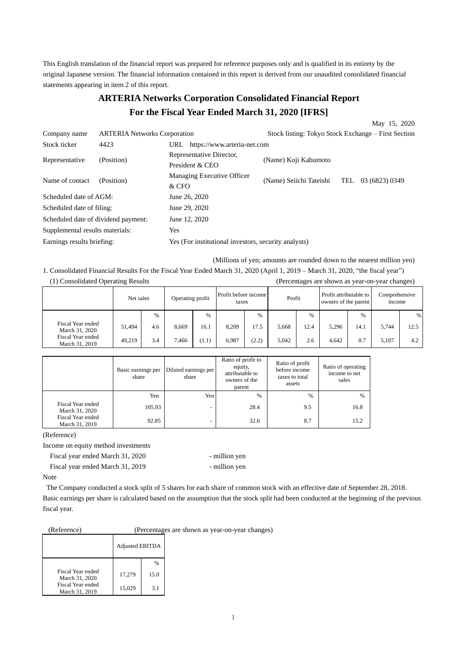This English translation of the financial report was prepared for reference purposes only and is qualified in its entirety by the original Japanese version. The financial information contained in this report is derived from our unaudited consolidated financial statements appearing in item 2 of this report.

# **ARTERIA Networks Corporation Consolidated Financial Report For the Fiscal Year Ended March 31, 2020 [IFRS]**

|                                     |                                     |                                                      |                         | May 15, 2020                                        |
|-------------------------------------|-------------------------------------|------------------------------------------------------|-------------------------|-----------------------------------------------------|
| Company name                        | <b>ARTERIA</b> Networks Corporation |                                                      |                         | Stock listing: Tokyo Stock Exchange – First Section |
| Stock ticker                        | 4423                                | https://www.arteria-net.com<br>URL                   |                         |                                                     |
| Representative                      | (Position)                          | Representative Director,<br>President & CEO          | (Name) Koji Kabumoto    |                                                     |
| Name of contact                     | (Position)                          | Managing Executive Officer<br>& CFO                  | (Name) Seiichi Tateishi | TEL<br>03 (6823) 0349                               |
| Scheduled date of AGM:              |                                     | June 26, 2020                                        |                         |                                                     |
| Scheduled date of filing:           |                                     | June 29, 2020                                        |                         |                                                     |
| Scheduled date of dividend payment: |                                     | June 12, 2020                                        |                         |                                                     |
| Supplemental results materials:     |                                     | Yes                                                  |                         |                                                     |
| Earnings results briefing:          |                                     | Yes (For institutional investors, security analysts) |                         |                                                     |

(Millions of yen; amounts are rounded down to the nearest million yen)

1. Consolidated Financial Results For the Fiscal Year Ended March 31, 2020 (April 1, 2019 – March 31, 2020, "the fiscal year") (1) Consolidated Operating Results (Percentages are shown as year-on-year changes)

|                                     | Net sales |     | Operating profit |               | Profit before income<br>taxes |       | Profit |      | Profit attributable to<br>owners of the parent |      | Comprehensive<br>income |      |
|-------------------------------------|-----------|-----|------------------|---------------|-------------------------------|-------|--------|------|------------------------------------------------|------|-------------------------|------|
|                                     |           | %   |                  | $\frac{0}{6}$ |                               | $\%$  |        | %    |                                                | %    |                         | %    |
| Fiscal Year ended<br>March 31, 2020 | 51,494    | 4.6 | 8,669            | 16.1          | 8,209                         | 17.5  | 5,668  | 12.4 | 5,296                                          | 14.1 | 5,744                   | 12.5 |
| Fiscal Year ended<br>March 31, 2019 | 49,219    | 3.4 | 7,466            | (1.1)         | 6.987                         | (2.2) | 5.042  | 2.6  | 4.642                                          | 0.7  | 5.107                   | 4.2  |

|                                     | Basic earnings per<br>share | Diluted earnings per<br>share | Ratio of profit to<br>equity,<br>attributable to<br>owners of the<br>parent | Ratio of profit<br>before income<br>taxes to total<br>assets | Ratio of operating<br>income to net<br>sales |
|-------------------------------------|-----------------------------|-------------------------------|-----------------------------------------------------------------------------|--------------------------------------------------------------|----------------------------------------------|
|                                     | Yen                         | Yen <sub>1</sub>              | $\%$                                                                        | $\frac{0}{6}$                                                | $\%$                                         |
| Fiscal Year ended<br>March 31, 2020 | 105.93                      | -                             | 28.4                                                                        | 9.5                                                          | 16.8                                         |
| Fiscal Year ended<br>March 31, 2019 | 92.85                       |                               | 32.6                                                                        | 8.7                                                          | 15.2                                         |

(Reference)

Income on equity method investments

Fiscal year ended March 31, 2020 - million yen Fiscal year ended March 31, 2019 - million yen

Note

The Company conducted a stock split of 5 shares for each share of common stock with an effective date of September 28, 2018. Basic earnings per share is calculated based on the assumption that the stock split had been conducted at the beginning of the previous fiscal year.

(Reference) (Percentages are shown as year-on-year changes)

|                                     | <b>Adjusted EBITDA</b> |               |
|-------------------------------------|------------------------|---------------|
|                                     |                        | $\frac{0}{0}$ |
| Fiscal Year ended<br>March 31, 2020 | 17,279                 | 15.0          |
| Fiscal Year ended<br>March 31, 2019 | 15,029                 | 3.1           |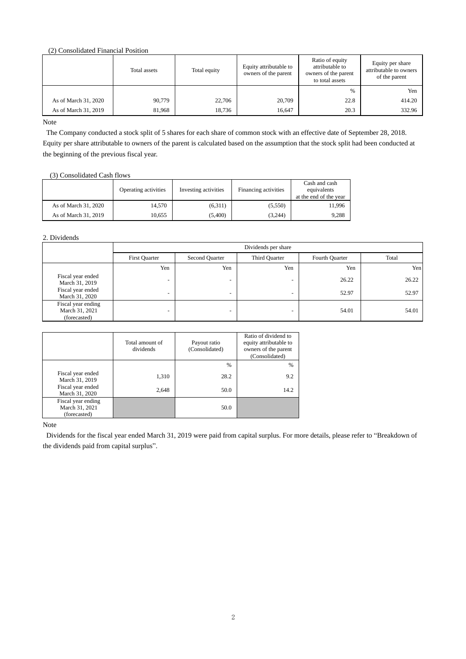(2) Consolidated Financial Position

|                      | Total assets | Total equity | Equity attributable to<br>owners of the parent | Ratio of equity<br>attributable to<br>owners of the parent<br>to total assets | Equity per share<br>attributable to owners<br>of the parent |
|----------------------|--------------|--------------|------------------------------------------------|-------------------------------------------------------------------------------|-------------------------------------------------------------|
|                      |              |              |                                                | %                                                                             | Yen                                                         |
| As of March 31, 2020 | 90,779       | 22,706       | 20,709                                         | 22.8                                                                          | 414.20                                                      |
| As of March 31, 2019 | 81.968       | 18,736       | 16.647                                         | 20.3                                                                          | 332.96                                                      |

Note

The Company conducted a stock split of 5 shares for each share of common stock with an effective date of September 28, 2018. Equity per share attributable to owners of the parent is calculated based on the assumption that the stock split had been conducted at the beginning of the previous fiscal year.

#### (3) Consolidated Cash flows

|                      | Operating activities | Investing activities | Financing activities | Cash and cash<br>equivalents<br>at the end of the year |
|----------------------|----------------------|----------------------|----------------------|--------------------------------------------------------|
| As of March 31, 2020 | 14.570               | (6,311)              | (5,550)              | 11,996                                                 |
| As of March 31, 2019 | 10.655               | (5.400)              | (3.244)              | 9.288                                                  |

#### 2. Dividends

|                                                      | Dividends per share      |                |                          |                |       |  |  |  |  |  |
|------------------------------------------------------|--------------------------|----------------|--------------------------|----------------|-------|--|--|--|--|--|
|                                                      | <b>First Quarter</b>     | Second Quarter | Third Quarter            | Fourth Quarter | Total |  |  |  |  |  |
|                                                      | Yen                      | Yen            | Yen                      | Yen            | Yen   |  |  |  |  |  |
| Fiscal year ended<br>March 31, 2019                  | $\overline{\phantom{0}}$ | -              | $\overline{\phantom{a}}$ | 26.22          | 26.22 |  |  |  |  |  |
| Fiscal year ended<br>March 31, 2020                  | $\overline{\phantom{0}}$ | -              |                          | 52.97          | 52.97 |  |  |  |  |  |
| Fiscal year ending<br>March 31, 2021<br>(forecasted) | $\overline{\phantom{0}}$ | -              | -                        | 54.01          | 54.01 |  |  |  |  |  |

|                                                      | Total amount of<br>dividends | Payout ratio<br>(Consolidated) | Ratio of dividend to<br>equity attributable to<br>owners of the parent<br>(Consolidated) |
|------------------------------------------------------|------------------------------|--------------------------------|------------------------------------------------------------------------------------------|
|                                                      |                              | %                              | $\%$                                                                                     |
| Fiscal year ended<br>March 31, 2019                  | 1,310                        | 28.2                           | 9.2                                                                                      |
| Fiscal year ended<br>March 31, 2020                  | 2,648                        | 50.0                           | 14.2                                                                                     |
| Fiscal year ending<br>March 31, 2021<br>(forecasted) |                              | 50.0                           |                                                                                          |

Note

Dividends for the fiscal year ended March 31, 2019 were paid from capital surplus. For more details, please refer to "Breakdown of the dividends paid from capital surplus".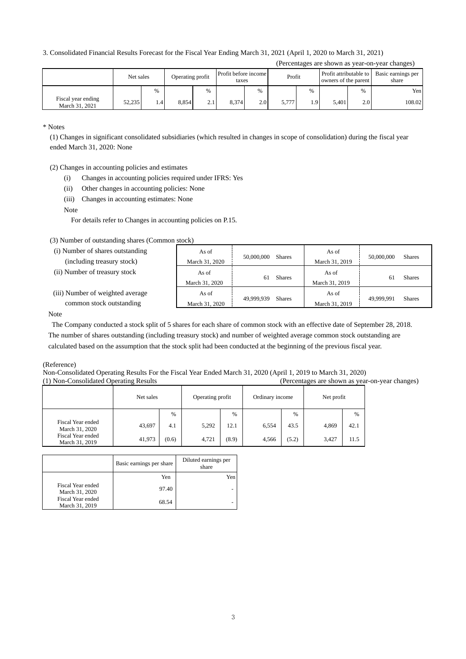#### 3. Consolidated Financial Results Forecast for the Fiscal Year Ending March 31, 2021 (April 1, 2020 to March 31, 2021)

|  | (Percentages are shown as year-on-year changes) |
|--|-------------------------------------------------|
|  |                                                 |

|                                      | Net sales |      | Operating profit |      | Profit before income<br>taxes |      | Profit |                  | Profit attributable to<br>owners of the parent |      | Basic earnings per<br>share |
|--------------------------------------|-----------|------|------------------|------|-------------------------------|------|--------|------------------|------------------------------------------------|------|-----------------------------|
|                                      |           | $\%$ |                  | $\%$ |                               | $\%$ |        | %                |                                                | $\%$ | Yen                         |
| Fiscal year ending<br>March 31, 2021 | 52,235    | 4.4  | 8.854            | 2.1  | 8.374                         | 2.0  | 5.777  | 1.9 <sup>1</sup> | 5.401                                          | 2.0  | 108.02                      |

\* Notes

(1) Changes in significant consolidated subsidiaries (which resulted in changes in scope of consolidation) during the fiscal year ended March 31, 2020: None

(2) Changes in accounting policies and estimates

- (i) Changes in accounting policies required under IFRS: Yes
- (ii) Other changes in accounting policies: None
- (iii) Changes in accounting estimates: None

Note

For details refer to Changes in accounting policies on P.15.

(3) Number of outstanding shares (Common stock)

| (i) Number of shares outstanding | As of                   | 50,000,000          | As of                   | 50,000,000    |
|----------------------------------|-------------------------|---------------------|-------------------------|---------------|
| (including treasury stock)       | March 31, 2020          | <b>Shares</b>       | March 31, 2019          | <b>Shares</b> |
| (ii) Number of treasury stock    | As of<br>March 31, 2020 | <b>Shares</b><br>61 | As of<br>March 31, 2019 | <b>Shares</b> |
| (iii) Number of weighted average | As of                   | 49.999.939          | As of                   | 49.999.991    |
| common stock outstanding         | March 31, 2020          | <b>Shares</b>       | March 31, 2019          | <b>Shares</b> |

Note

The Company conducted a stock split of 5 shares for each share of common stock with an effective date of September 28, 2018. The number of shares outstanding (including treasury stock) and number of weighted average common stock outstanding are calculated based on the assumption that the stock split had been conducted at the beginning of the previous fiscal year.

(Reference)

Non-Consolidated Operating Results For the Fiscal Year Ended March 31, 2020 (April 1, 2019 to March 31, 2020)

| (1) Non-Consolidated Operating Results |           |       |                  |       | (Percentages are shown as year-on-year changes) |               |            |      |  |
|----------------------------------------|-----------|-------|------------------|-------|-------------------------------------------------|---------------|------------|------|--|
|                                        | Net sales |       | Operating profit |       | Ordinary income                                 |               | Net profit |      |  |
|                                        |           | %     |                  | %     |                                                 | $\frac{0}{6}$ |            | $\%$ |  |
| Fiscal Year ended<br>March 31, 2020    | 43,697    | 4.1   | 5,292            | 12.1  | 6,554                                           | 43.5          | 4,869      | 42.1 |  |
| Fiscal Year ended<br>March 31, 2019    | 41.973    | (0.6) | 4.721            | (8.9) | 4.566                                           | (5.2)         | 3,427      | 11.5 |  |

|                                     | Basic earnings per share | Diluted earnings per<br>share |
|-------------------------------------|--------------------------|-------------------------------|
|                                     | Yen                      | Yen                           |
| Fiscal Year ended<br>March 31, 2020 | 97.40                    |                               |
| Fiscal Year ended<br>March 31, 2019 | 68.54                    |                               |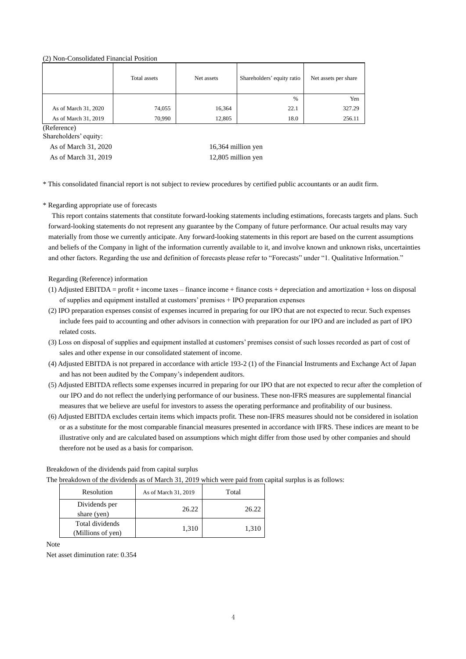#### (2) Non-Consolidated Financial Position

|                      | Total assets | Net assets | Shareholders' equity ratio | Net assets per share |
|----------------------|--------------|------------|----------------------------|----------------------|
|                      |              |            | $\frac{0}{0}$              | Yen                  |
| As of March 31, 2020 | 74,055       | 16,364     | 22.1                       | 327.29               |
| As of March 31, 2019 | 70,990       | 12,805     | 18.0                       | 256.11               |

(Reference)

Shareholders' equity:

As of March 31, 2019 12,805 million yen

As of March 31, 2020 16,364 million yen

\* This consolidated financial report is not subject to review procedures by certified public accountants or an audit firm.

#### \* Regarding appropriate use of forecasts

This report contains statements that constitute forward-looking statements including estimations, forecasts targets and plans. Such forward-looking statements do not represent any guarantee by the Company of future performance. Our actual results may vary materially from those we currently anticipate. Any forward-looking statements in this report are based on the current assumptions and beliefs of the Company in light of the information currently available to it, and involve known and unknown risks, uncertainties and other factors. Regarding the use and definition of forecasts please refer to "Forecasts" under "1. Qualitative Information."

#### Regarding (Reference) information

- $(1)$  Adjusted EBITDA = profit + income taxes finance income + finance costs + depreciation and amortization + loss on disposal of supplies and equipment installed at customers' premises + IPO preparation expenses
- (2) IPO preparation expenses consist of expenses incurred in preparing for our IPO that are not expected to recur. Such expenses include fees paid to accounting and other advisors in connection with preparation for our IPO and are included as part of IPO related costs.
- (3) Loss on disposal of supplies and equipment installed at customers' premises consist of such losses recorded as part of cost of sales and other expense in our consolidated statement of income.
- (4) Adjusted EBITDA is not prepared in accordance with article 193-2 (1) of the Financial Instruments and Exchange Act of Japan and has not been audited by the Company's independent auditors.
- (5) Adjusted EBITDA reflects some expenses incurred in preparing for our IPO that are not expected to recur after the completion of our IPO and do not reflect the underlying performance of our business. These non-IFRS measures are supplemental financial measures that we believe are useful for investors to assess the operating performance and profitability of our business.
- (6) Adjusted EBITDA excludes certain items which impacts profit. These non-IFRS measures should not be considered in isolation or as a substitute for the most comparable financial measures presented in accordance with IFRS. These indices are meant to be illustrative only and are calculated based on assumptions which might differ from those used by other companies and should therefore not be used as a basis for comparison.

Breakdown of the dividends paid from capital surplus The breakdown of the dividends as of March 31, 2019 which were paid from capital surplus is as follows:

| Resolution                           | As of March 31, 2019 | Total |
|--------------------------------------|----------------------|-------|
| Dividends per<br>share (yen)         | 26.22                | 26.22 |
| Total dividends<br>(Millions of yen) | 1,310                | 1.310 |

Note

Net asset diminution rate: 0.354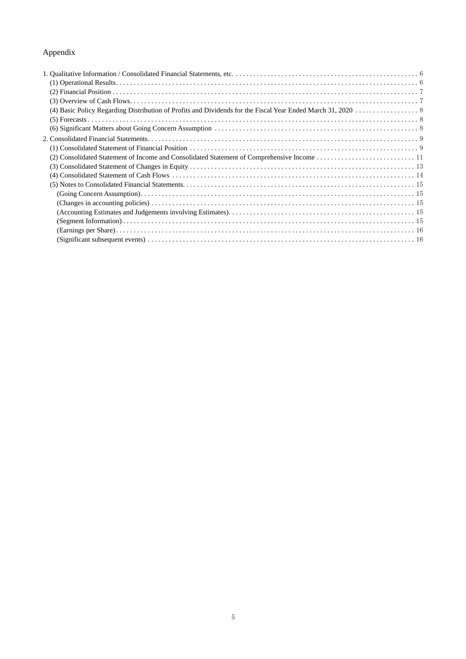## Appendix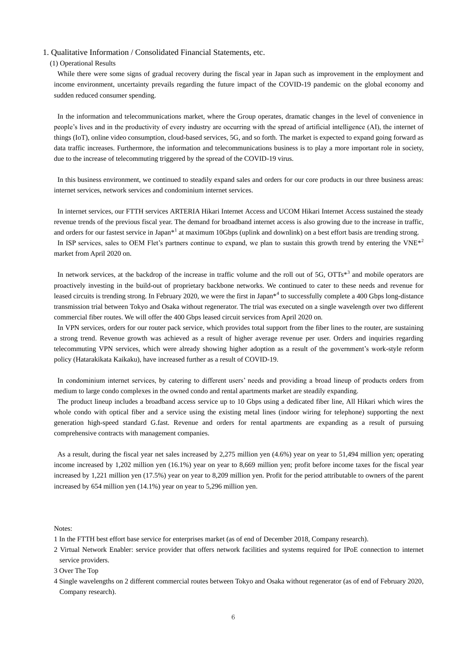#### 1. Qualitative Information / Consolidated Financial Statements, etc.

#### (1) Operational Results

While there were some signs of gradual recovery during the fiscal year in Japan such as improvement in the employment and income environment, uncertainty prevails regarding the future impact of the COVID-19 pandemic on the global economy and sudden reduced consumer spending.

In the information and telecommunications market, where the Group operates, dramatic changes in the level of convenience in people's lives and in the productivity of every industry are occurring with the spread of artificial intelligence (AI), the internet of things (IoT), online video consumption, cloud-based services, 5G, and so forth. The market is expected to expand going forward as data traffic increases. Furthermore, the information and telecommunications business is to play a more important role in society, due to the increase of telecommuting triggered by the spread of the COVID-19 virus.

In this business environment, we continued to steadily expand sales and orders for our core products in our three business areas: internet services, network services and condominium internet services.

In internet services, our FTTH services ARTERIA Hikari Internet Access and UCOM Hikari Internet Access sustained the steady revenue trends of the previous fiscal year. The demand for broadband internet access is also growing due to the increase in traffic, and orders for our fastest service in Japan\*<sup>1</sup> at maximum 10Gbps (uplink and downlink) on a best effort basis are trending strong. In ISP services, sales to OEM Flet's partners continue to expand, we plan to sustain this growth trend by entering the VNE $*^2$ market from April 2020 on.

In network services, at the backdrop of the increase in traffic volume and the roll out of  $5G$ ,  $OTTs*<sup>3</sup>$  and mobile operators are proactively investing in the build-out of proprietary backbone networks. We continued to cater to these needs and revenue for leased circuits is trending strong. In February 2020, we were the first in Japan<sup>\*4</sup> to successfully complete a 400 Gbps long-distance transmission trial between Tokyo and Osaka without regenerator. The trial was executed on a single wavelength over two different commercial fiber routes. We will offer the 400 Gbps leased circuit services from April 2020 on.

In VPN services, orders for our router pack service, which provides total support from the fiber lines to the router, are sustaining a strong trend. Revenue growth was achieved as a result of higher average revenue per user. Orders and inquiries regarding telecommuting VPN services, which were already showing higher adoption as a result of the government's work-style reform policy (Hatarakikata Kaikaku), have increased further as a result of COVID-19.

In condominium internet services, by catering to different users' needs and providing a broad lineup of products orders from medium to large condo complexes in the owned condo and rental apartments market are steadily expanding.

The product lineup includes a broadband access service up to 10 Gbps using a dedicated fiber line, All Hikari which wires the whole condo with optical fiber and a service using the existing metal lines (indoor wiring for telephone) supporting the next generation high-speed standard G.fast. Revenue and orders for rental apartments are expanding as a result of pursuing comprehensive contracts with management companies.

As a result, during the fiscal year net sales increased by 2,275 million yen (4.6%) year on year to 51,494 million yen; operating income increased by 1,202 million yen (16.1%) year on year to 8,669 million yen; profit before income taxes for the fiscal year increased by 1,221 million yen (17.5%) year on year to 8,209 million yen. Profit for the period attributable to owners of the parent increased by 654 million yen (14.1%) year on year to 5,296 million yen.

Notes:

1 In the FTTH best effort base service for enterprises market (as of end of December 2018, Company research).

2 Virtual Network Enabler: service provider that offers network facilities and systems required for IPoE connection to internet service providers.

4 Single wavelengths on 2 different commercial routes between Tokyo and Osaka without regenerator (as of end of February 2020, Company research).

<sup>3</sup> Over The Top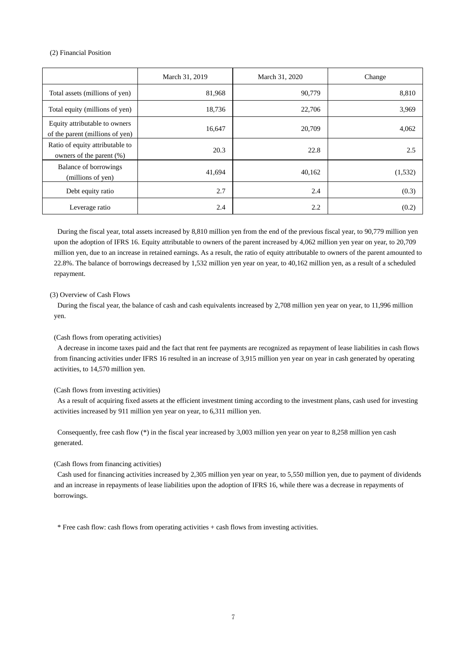#### (2) Financial Position

|                                                                  | March 31, 2019 | March 31, 2020 | Change   |
|------------------------------------------------------------------|----------------|----------------|----------|
| Total assets (millions of yen)                                   | 81,968         | 90,779         | 8,810    |
| Total equity (millions of yen)                                   | 18,736         | 22,706         | 3,969    |
| Equity attributable to owners<br>of the parent (millions of yen) | 16,647         | 20,709         | 4,062    |
| Ratio of equity attributable to<br>owners of the parent (%)      | 20.3           | 22.8           | 2.5      |
| Balance of borrowings<br>(millions of yen)                       | 41,694         | 40,162         | (1, 532) |
| Debt equity ratio                                                | 2.7            | 2.4            | (0.3)    |
| Leverage ratio                                                   | 2.4            | 2.2            | (0.2)    |

During the fiscal year, total assets increased by 8,810 million yen from the end of the previous fiscal year, to 90,779 million yen upon the adoption of IFRS 16. Equity attributable to owners of the parent increased by 4,062 million yen year on year, to 20,709 million yen, due to an increase in retained earnings. As a result, the ratio of equity attributable to owners of the parent amounted to 22.8%. The balance of borrowings decreased by 1,532 million yen year on year, to 40,162 million yen, as a result of a scheduled repayment.

#### (3) Overview of Cash Flows

During the fiscal year, the balance of cash and cash equivalents increased by 2,708 million yen year on year, to 11,996 million yen.

#### (Cash flows from operating activities)

A decrease in income taxes paid and the fact that rent fee payments are recognized as repayment of lease liabilities in cash flows from financing activities under IFRS 16 resulted in an increase of 3,915 million yen year on year in cash generated by operating activities, to 14,570 million yen.

#### (Cash flows from investing activities)

As a result of acquiring fixed assets at the efficient investment timing according to the investment plans, cash used for investing activities increased by 911 million yen year on year, to 6,311 million yen.

Consequently, free cash flow (\*) in the fiscal year increased by 3,003 million yen year on year to 8,258 million yen cash generated.

#### (Cash flows from financing activities)

Cash used for financing activities increased by 2,305 million yen year on year, to 5,550 million yen, due to payment of dividends and an increase in repayments of lease liabilities upon the adoption of IFRS 16, while there was a decrease in repayments of borrowings.

\* Free cash flow: cash flows from operating activities + cash flows from investing activities.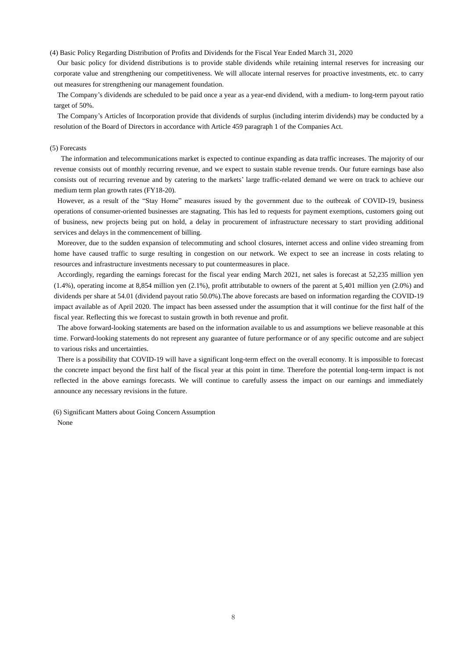(4) Basic Policy Regarding Distribution of Profits and Dividends for the Fiscal Year Ended March 31, 2020

Our basic policy for dividend distributions is to provide stable dividends while retaining internal reserves for increasing our corporate value and strengthening our competitiveness. We will allocate internal reserves for proactive investments, etc. to carry out measures for strengthening our management foundation.

The Company's dividends are scheduled to be paid once a year as a year-end dividend, with a medium- to long-term payout ratio target of 50%.

The Company's Articles of Incorporation provide that dividends of surplus (including interim dividends) may be conducted by a resolution of the Board of Directors in accordance with Article 459 paragraph 1 of the Companies Act.

#### (5) Forecasts

The information and telecommunications market is expected to continue expanding as data traffic increases. The majority of our revenue consists out of monthly recurring revenue, and we expect to sustain stable revenue trends. Our future earnings base also consists out of recurring revenue and by catering to the markets' large traffic-related demand we were on track to achieve our medium term plan growth rates (FY18-20).

However, as a result of the "Stay Home" measures issued by the government due to the outbreak of COVID-19, business operations of consumer-oriented businesses are stagnating. This has led to requests for payment exemptions, customers going out of business, new projects being put on hold, a delay in procurement of infrastructure necessary to start providing additional services and delays in the commencement of billing.

Moreover, due to the sudden expansion of telecommuting and school closures, internet access and online video streaming from home have caused traffic to surge resulting in congestion on our network. We expect to see an increase in costs relating to resources and infrastructure investments necessary to put countermeasures in place.

Accordingly, regarding the earnings forecast for the fiscal year ending March 2021, net sales is forecast at 52,235 million yen (1.4%), operating income at 8,854 million yen (2.1%), profit attributable to owners of the parent at 5,401 million yen (2.0%) and dividends per share at 54.01 (dividend payout ratio 50.0%).The above forecasts are based on information regarding the COVID-19 impact available as of April 2020. The impact has been assessed under the assumption that it will continue for the first half of the fiscal year. Reflecting this we forecast to sustain growth in both revenue and profit.

The above forward-looking statements are based on the information available to us and assumptions we believe reasonable at this time. Forward-looking statements do not represent any guarantee of future performance or of any specific outcome and are subject to various risks and uncertainties.

There is a possibility that COVID-19 will have a significant long-term effect on the overall economy. It is impossible to forecast the concrete impact beyond the first half of the fiscal year at this point in time. Therefore the potential long-term impact is not reflected in the above earnings forecasts. We will continue to carefully assess the impact on our earnings and immediately announce any necessary revisions in the future.

(6) Significant Matters about Going Concern Assumption None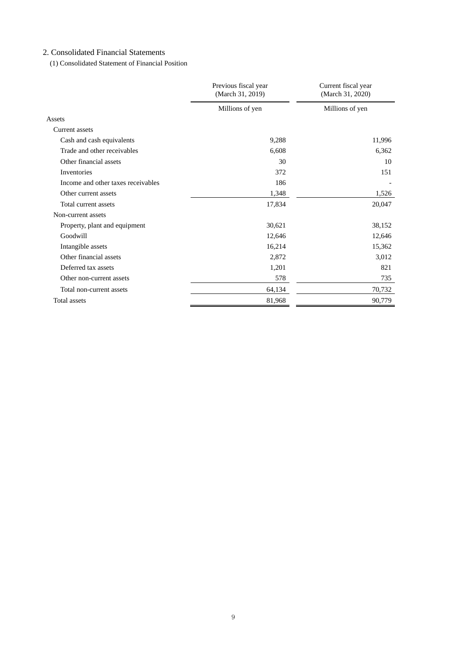## 2. Consolidated Financial Statements

(1) Consolidated Statement of Financial Position

|                                    | Previous fiscal year<br>(March 31, 2019) | Current fiscal year<br>(March 31, 2020) |  |
|------------------------------------|------------------------------------------|-----------------------------------------|--|
|                                    | Millions of yen                          | Millions of yen                         |  |
| Assets                             |                                          |                                         |  |
| <b>Current assets</b>              |                                          |                                         |  |
| Cash and cash equivalents          | 9,288                                    | 11,996                                  |  |
| Trade and other receivables        | 6,608                                    | 6,362                                   |  |
| Other financial assets             | 30                                       | 10                                      |  |
| Inventories                        | 372                                      | 151                                     |  |
| Income and other taxes receivables | 186                                      |                                         |  |
| Other current assets               | 1,348                                    | 1,526                                   |  |
| Total current assets               | 17,834                                   | 20,047                                  |  |
| Non-current assets                 |                                          |                                         |  |
| Property, plant and equipment      | 30,621                                   | 38,152                                  |  |
| Goodwill                           | 12,646                                   | 12,646                                  |  |
| Intangible assets                  | 16,214                                   | 15,362                                  |  |
| Other financial assets             | 2,872                                    | 3,012                                   |  |
| Deferred tax assets                | 1,201                                    | 821                                     |  |
| Other non-current assets           | 578                                      | 735                                     |  |
| Total non-current assets           | 64,134                                   | 70,732                                  |  |
| Total assets                       | 81,968                                   | 90,779                                  |  |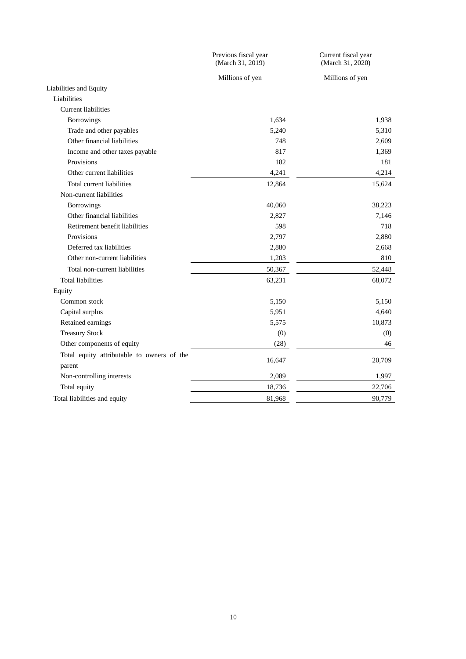|                                            | Previous fiscal year<br>(March 31, 2019) | Current fiscal year<br>(March 31, 2020) |
|--------------------------------------------|------------------------------------------|-----------------------------------------|
|                                            | Millions of yen                          | Millions of yen                         |
| Liabilities and Equity                     |                                          |                                         |
| Liabilities                                |                                          |                                         |
| <b>Current liabilities</b>                 |                                          |                                         |
| <b>Borrowings</b>                          | 1,634                                    | 1,938                                   |
| Trade and other payables                   | 5,240                                    | 5,310                                   |
| Other financial liabilities                | 748                                      | 2,609                                   |
| Income and other taxes payable             | 817                                      | 1,369                                   |
| Provisions                                 | 182                                      | 181                                     |
| Other current liabilities                  | 4,241                                    | 4,214                                   |
| Total current liabilities                  | 12,864                                   | 15,624                                  |
| Non-current liabilities                    |                                          |                                         |
| <b>Borrowings</b>                          | 40,060                                   | 38,223                                  |
| Other financial liabilities                | 2,827                                    | 7,146                                   |
| Retirement benefit liabilities             | 598                                      | 718                                     |
| Provisions                                 | 2,797                                    | 2,880                                   |
| Deferred tax liabilities                   | 2,880                                    | 2,668                                   |
| Other non-current liabilities              | 1,203                                    | 810                                     |
| Total non-current liabilities              | 50,367                                   | 52,448                                  |
| <b>Total liabilities</b>                   | 63,231                                   | 68,072                                  |
| Equity                                     |                                          |                                         |
| Common stock                               | 5,150                                    | 5,150                                   |
| Capital surplus                            | 5,951                                    | 4,640                                   |
| Retained earnings                          | 5,575                                    | 10,873                                  |
| <b>Treasury Stock</b>                      | (0)                                      | (0)                                     |
| Other components of equity                 | (28)                                     | 46                                      |
| Total equity attributable to owners of the |                                          |                                         |
| parent                                     | 16,647                                   | 20,709                                  |
| Non-controlling interests                  | 2,089                                    | 1,997                                   |
| Total equity                               | 18,736                                   | 22,706                                  |
| Total liabilities and equity               | 81,968                                   | 90,779                                  |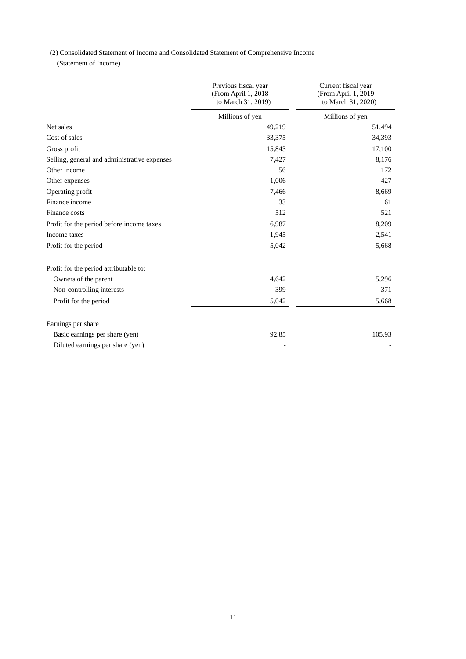(2) Consolidated Statement of Income and Consolidated Statement of Comprehensive Income

(Statement of Income)

|                                              | Previous fiscal year<br>(From April 1, 2018)<br>to March 31, 2019) | Current fiscal year<br>(From April 1, 2019<br>to March 31, 2020) |
|----------------------------------------------|--------------------------------------------------------------------|------------------------------------------------------------------|
|                                              | Millions of yen                                                    | Millions of yen                                                  |
| Net sales                                    | 49,219                                                             | 51,494                                                           |
| Cost of sales                                | 33,375                                                             | 34,393                                                           |
| Gross profit                                 | 15,843                                                             | 17,100                                                           |
| Selling, general and administrative expenses | 7,427                                                              | 8,176                                                            |
| Other income                                 | 56                                                                 | 172                                                              |
| Other expenses                               | 1,006                                                              | 427                                                              |
| Operating profit                             | 7,466                                                              | 8,669                                                            |
| Finance income                               | 33                                                                 | 61                                                               |
| Finance costs                                | 512                                                                | 521                                                              |
| Profit for the period before income taxes    | 6,987                                                              | 8,209                                                            |
| Income taxes                                 | 1,945                                                              | 2,541                                                            |
| Profit for the period                        | 5,042                                                              | 5,668                                                            |
| Profit for the period attributable to:       |                                                                    |                                                                  |
| Owners of the parent                         | 4,642                                                              | 5,296                                                            |
| Non-controlling interests                    | 399                                                                | 371                                                              |
| Profit for the period                        | 5,042                                                              | 5,668                                                            |
| Earnings per share                           |                                                                    |                                                                  |
| Basic earnings per share (yen)               | 92.85                                                              | 105.93                                                           |
| Diluted earnings per share (yen)             |                                                                    |                                                                  |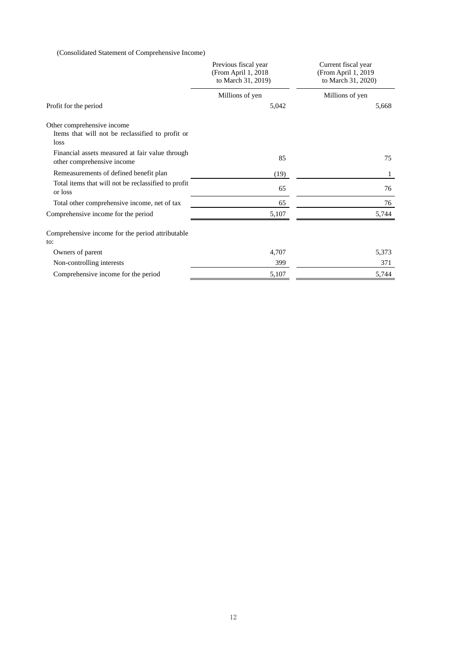(Consolidated Statement of Comprehensive Income)

|                                                                                        | Previous fiscal year<br>(From April 1, 2018<br>to March 31, 2019) | Current fiscal year<br>(From April 1, 2019<br>to March 31, 2020) |  |
|----------------------------------------------------------------------------------------|-------------------------------------------------------------------|------------------------------------------------------------------|--|
|                                                                                        | Millions of yen                                                   | Millions of yen                                                  |  |
| Profit for the period                                                                  | 5,042                                                             | 5,668                                                            |  |
| Other comprehensive income<br>Items that will not be reclassified to profit or<br>loss |                                                                   |                                                                  |  |
| Financial assets measured at fair value through<br>other comprehensive income          | 85                                                                | 75                                                               |  |
| Remeasurements of defined benefit plan                                                 | (19)                                                              | 1                                                                |  |
| Total items that will not be reclassified to profit<br>or loss                         | 65                                                                | 76                                                               |  |
| Total other comprehensive income, net of tax                                           | 65                                                                | 76                                                               |  |
| Comprehensive income for the period                                                    | 5,107                                                             | 5,744                                                            |  |
| Comprehensive income for the period attributable<br>to:                                |                                                                   |                                                                  |  |
| Owners of parent                                                                       | 4,707                                                             | 5,373                                                            |  |
| Non-controlling interests                                                              | 399                                                               | 371                                                              |  |
| Comprehensive income for the period                                                    | 5,107                                                             | 5,744                                                            |  |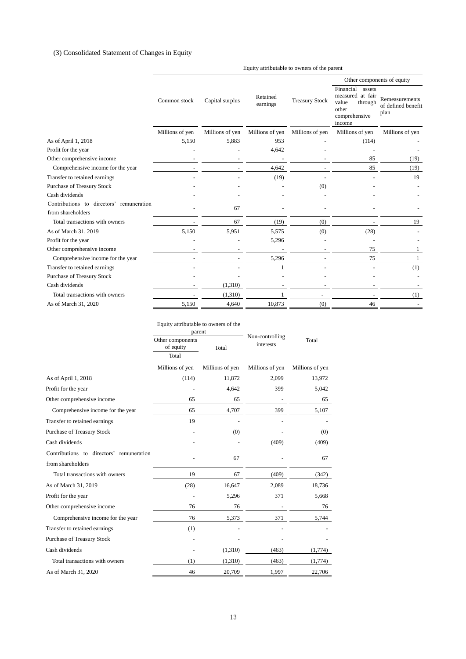## (3) Consolidated Statement of Changes in Equity

|                                          |                 |                 |                      |                       | Other components of equity                                                                      |                                              |
|------------------------------------------|-----------------|-----------------|----------------------|-----------------------|-------------------------------------------------------------------------------------------------|----------------------------------------------|
|                                          | Common stock    | Capital surplus | Retained<br>earnings | <b>Treasury Stock</b> | Financial<br>assets<br>measured at fair<br>value<br>through<br>other<br>comprehensive<br>income | Remeasurements<br>of defined benefit<br>plan |
|                                          | Millions of yen | Millions of yen | Millions of yen      | Millions of yen       | Millions of yen                                                                                 | Millions of yen                              |
| As of April 1, 2018                      | 5,150           | 5,883           | 953                  |                       | (114)                                                                                           |                                              |
| Profit for the year                      |                 |                 | 4,642                |                       |                                                                                                 |                                              |
| Other comprehensive income               |                 |                 |                      |                       | 85                                                                                              | (19)                                         |
| Comprehensive income for the year        |                 |                 | 4,642                |                       | 85                                                                                              | (19)                                         |
| Transfer to retained earnings            |                 |                 | (19)                 |                       |                                                                                                 | 19                                           |
| Purchase of Treasury Stock               |                 |                 |                      | (0)                   |                                                                                                 |                                              |
| Cash dividends                           |                 |                 |                      |                       |                                                                                                 |                                              |
| Contributions to directors' remuneration |                 | 67              |                      |                       |                                                                                                 |                                              |
| from shareholders                        |                 |                 |                      |                       |                                                                                                 |                                              |
| Total transactions with owners           |                 | 67              | (19)                 | (0)                   |                                                                                                 | 19                                           |
| As of March 31, 2019                     | 5,150           | 5,951           | 5,575                | (0)                   | (28)                                                                                            |                                              |
| Profit for the year                      |                 |                 | 5,296                |                       |                                                                                                 |                                              |
| Other comprehensive income               |                 |                 |                      |                       | 75                                                                                              |                                              |
| Comprehensive income for the year        |                 |                 | 5,296                |                       | 75                                                                                              |                                              |
| Transfer to retained earnings            |                 |                 |                      |                       |                                                                                                 | (1)                                          |
| Purchase of Treasury Stock               |                 |                 |                      |                       |                                                                                                 |                                              |
| Cash dividends                           |                 | (1,310)         |                      |                       |                                                                                                 |                                              |
| Total transactions with owners           |                 | (1,310)         |                      |                       |                                                                                                 | (1)                                          |
| As of March 31, 2020                     | 5.150           | 4,640           | 10.873               | (0)                   | 46                                                                                              |                                              |

|                                          | Equity attributable to owners of the   |                 |                 |                 |  |
|------------------------------------------|----------------------------------------|-----------------|-----------------|-----------------|--|
|                                          | parent                                 |                 | Non-controlling |                 |  |
|                                          | Other components<br>of equity<br>Total |                 | interests       | Total           |  |
|                                          | Total                                  |                 |                 |                 |  |
|                                          | Millions of yen                        | Millions of yen | Millions of yen | Millions of yen |  |
| As of April 1, 2018                      | (114)                                  | 11,872          | 2,099           | 13,972          |  |
| Profit for the year                      |                                        | 4,642           | 399             | 5,042           |  |
| Other comprehensive income               | 65                                     | 65              |                 | 65              |  |
| Comprehensive income for the year        | 65                                     | 4,707           | 399             | 5,107           |  |
| Transfer to retained earnings            | 19                                     |                 |                 |                 |  |
| Purchase of Treasury Stock               |                                        | (0)             |                 | (0)             |  |
| Cash dividends                           |                                        |                 | (409)           | (409)           |  |
| Contributions to directors' remuneration |                                        |                 |                 |                 |  |
| from shareholders                        |                                        | 67              |                 | 67              |  |
| Total transactions with owners           | 19                                     | 67              | (409)           | (342)           |  |
| As of March 31, 2019                     | (28)                                   | 16,647          | 2,089           | 18,736          |  |
| Profit for the year                      |                                        | 5,296           | 371             | 5,668           |  |
| Other comprehensive income               | 76                                     | 76              |                 | 76              |  |
| Comprehensive income for the year        | 76                                     | 5,373           | 371             | 5,744           |  |
| Transfer to retained earnings            | (1)                                    |                 |                 |                 |  |
| Purchase of Treasury Stock               |                                        |                 |                 |                 |  |
| Cash dividends                           |                                        | (1,310)         | (463)           | (1,774)         |  |
| Total transactions with owners           | (1)                                    | (1,310)         | (463)           | (1,774)         |  |
| As of March 31, 2020                     | 46                                     | 20,709          | 1,997           | 22,706          |  |

Equity attributable to owners of the parent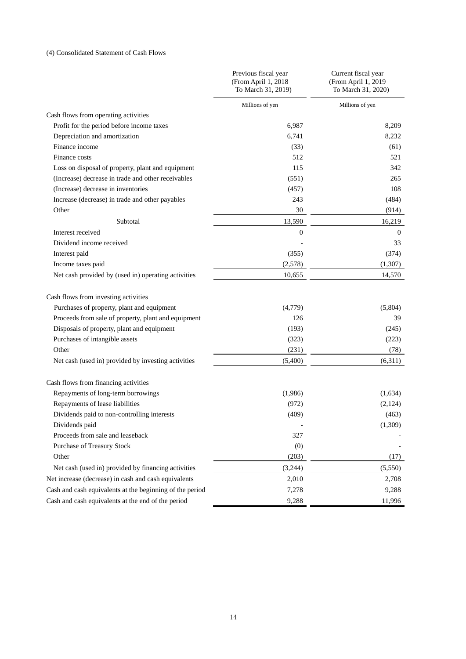## (4) Consolidated Statement of Cash Flows

|                                                          | Previous fiscal year<br>(From April 1, 2018<br>To March 31, 2019) | Current fiscal year<br>(From April 1, 2019<br>To March 31, 2020) |
|----------------------------------------------------------|-------------------------------------------------------------------|------------------------------------------------------------------|
|                                                          | Millions of yen                                                   | Millions of yen                                                  |
| Cash flows from operating activities                     |                                                                   |                                                                  |
| Profit for the period before income taxes                | 6,987                                                             | 8,209                                                            |
| Depreciation and amortization                            | 6,741                                                             | 8,232                                                            |
| Finance income                                           | (33)                                                              | (61)                                                             |
| Finance costs                                            | 512                                                               | 521                                                              |
| Loss on disposal of property, plant and equipment        | 115                                                               | 342                                                              |
| (Increase) decrease in trade and other receivables       | (551)                                                             | 265                                                              |
| (Increase) decrease in inventories                       | (457)                                                             | 108                                                              |
| Increase (decrease) in trade and other payables          | 243                                                               | (484)                                                            |
| Other                                                    | 30                                                                | (914)                                                            |
| Subtotal                                                 | 13,590                                                            | 16,219                                                           |
| Interest received                                        | $\boldsymbol{0}$                                                  | $\theta$                                                         |
| Dividend income received                                 |                                                                   | 33                                                               |
| Interest paid                                            | (355)                                                             | (374)                                                            |
| Income taxes paid                                        | (2,578)                                                           | (1,307)                                                          |
| Net cash provided by (used in) operating activities      | 10,655                                                            | 14,570                                                           |
| Cash flows from investing activities                     |                                                                   |                                                                  |
| Purchases of property, plant and equipment               | (4,779)                                                           | (5,804)                                                          |
| Proceeds from sale of property, plant and equipment      | 126                                                               | 39                                                               |
| Disposals of property, plant and equipment               | (193)                                                             | (245)                                                            |
| Purchases of intangible assets                           | (323)                                                             | (223)                                                            |
| Other                                                    | (231)                                                             | (78)                                                             |
| Net cash (used in) provided by investing activities      | (5,400)                                                           | (6,311)                                                          |
| Cash flows from financing activities                     |                                                                   |                                                                  |
| Repayments of long-term borrowings                       | (1,986)                                                           | (1,634)                                                          |
| Repayments of lease liabilities                          | (972)                                                             | (2, 124)                                                         |
| Dividends paid to non-controlling interests              | (409)                                                             | (463)                                                            |
| Dividends paid                                           | $\overline{\phantom{a}}$                                          | (1,309)                                                          |
| Proceeds from sale and leaseback                         | 327                                                               |                                                                  |
| Purchase of Treasury Stock                               | (0)                                                               |                                                                  |
| Other                                                    | (203)                                                             | (17)                                                             |
| Net cash (used in) provided by financing activities      | (3,244)                                                           | (5,550)                                                          |
| Net increase (decrease) in cash and cash equivalents     | 2,010                                                             | 2,708                                                            |
| Cash and cash equivalents at the beginning of the period | 7,278                                                             | 9,288                                                            |
| Cash and cash equivalents at the end of the period       | 9,288                                                             | 11,996                                                           |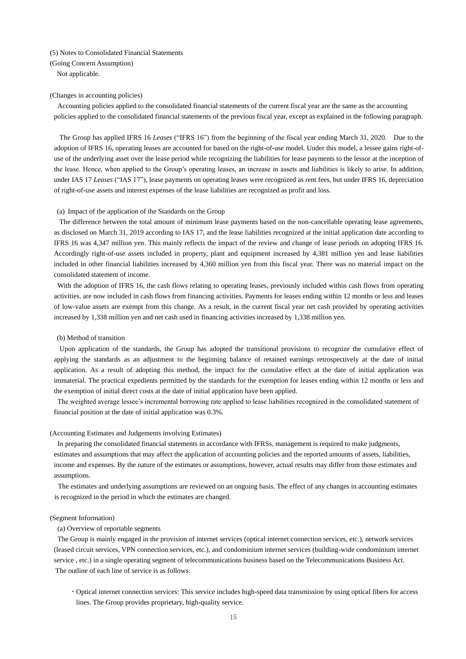(5) Notes to Consolidated Financial Statements

(Going Concern Assumption)

Not applicable.

#### (Changes in accounting policies)

Accounting policies applied to the consolidated financial statements of the current fiscal year are the same as the accounting policies applied to the consolidated financial statements of the previous fiscal year, except as explained in the following paragraph.

The Group has applied IFRS 16 *Leases* ("IFRS 16") from the beginning of the fiscal year ending March 31, 2020. Due to the adoption of IFRS 16, operating leases are accounted for based on the right-of-use model. Under this model, a lessee gains right-ofuse of the underlying asset over the lease period while recognizing the liabilities for lease payments to the lessor at the inception of the lease. Hence, when applied to the Group's operating leases, an increase in assets and liabilities is likely to arise. In addition, under IAS 17 *Leases* ("IAS 17"), lease payments on operating leases were recognized as rent fees, but under IFRS 16, depreciation of right-of-use assets and interest expenses of the lease liabilities are recognized as profit and loss.

#### (a) Impact of the application of the Standards on the Group

The difference between the total amount of minimum lease payments based on the non-cancellable operating lease agreements, as disclosed on March 31, 2019 according to IAS 17, and the lease liabilities recognized at the initial application date according to IFRS 16 was 4,347 million yen. This mainly reflects the impact of the review and change of lease periods on adopting IFRS 16. Accordingly right-of-use assets included in property, plant and equipment increased by 4,381 million yen and lease liabilities included in other financial liabilities increased by 4,360 million yen from this fiscal year. There was no material impact on the consolidated statement of income.

With the adoption of IFRS 16, the cash flows relating to operating leases, previously included within cash flows from operating activities, are now included in cash flows from financing activities. Payments for leases ending within 12 months or less and leases of low-value assets are exempt from this change. As a result, in the current fiscal year net cash provided by operating activities increased by 1,338 million yen and net cash used in financing activities increased by 1,338 million yen.

#### (b) Method of transition

Upon application of the standards, the Group has adopted the transitional provisions to recognize the cumulative effect of applying the standards as an adjustment to the beginning balance of retained earnings retrospectively at the date of initial application. As a result of adopting this method, the impact for the cumulative effect at the date of initial application was immaterial. The practical expedients permitted by the standards for the exemption for leases ending within 12 months or less and the exemption of initial direct costs at the date of initial application have been applied.

The weighted average lessee's incremental borrowing rate applied to lease liabilities recognized in the consolidated statement of financial position at the date of initial application was 0.3%.

#### (Accounting Estimates and Judgements involving Estimates)

In preparing the consolidated financial statements in accordance with IFRSs, management is required to make judgments, estimates and assumptions that may affect the application of accounting policies and the reported amounts of assets, liabilities, income and expenses. By the nature of the estimates or assumptions, however, actual results may differ from those estimates and assumptions.

The estimates and underlying assumptions are reviewed on an ongoing basis. The effect of any changes in accounting estimates is recognized in the period in which the estimates are changed.

#### (Segment Information)

#### (a) Overview of reportable segments

The Group is mainly engaged in the provision of internet services (optical internet connection services, etc.), network services (leased circuit services, VPN connection services, etc.), and condominium internet services (building-wide condominium internet service , etc.) in a single operating segment of telecommunications business based on the Telecommunications Business Act. The outline of each line of service is as follows:

 Optical internet connection services: This service includes high-speed data transmission by using optical fibers for access lines. The Group provides proprietary, high-quality service.